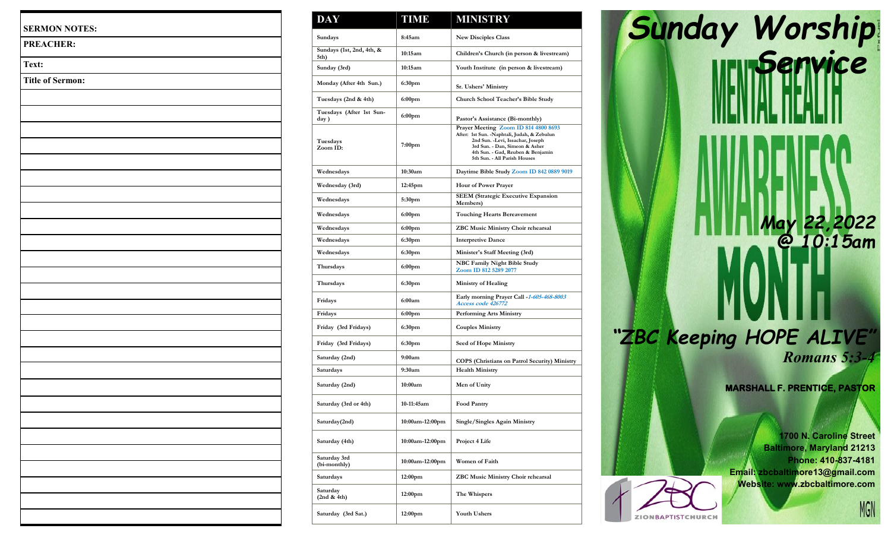| <b>SERMON NOTES:</b>    |  |
|-------------------------|--|
| <b>PREACHER:</b>        |  |
| Text:                   |  |
| <b>Title of Sermon:</b> |  |
|                         |  |
|                         |  |
|                         |  |
|                         |  |
|                         |  |
|                         |  |
|                         |  |
|                         |  |
|                         |  |
|                         |  |
|                         |  |
|                         |  |
|                         |  |
|                         |  |
|                         |  |
|                         |  |
|                         |  |
|                         |  |
|                         |  |
|                         |  |
|                         |  |
|                         |  |
|                         |  |
|                         |  |
|                         |  |
|                         |  |
|                         |  |

| <b>DAY</b>                        | <b>TIME</b>         | <b>MINISTRY</b>                                                                                                                                                                                                                  |
|-----------------------------------|---------------------|----------------------------------------------------------------------------------------------------------------------------------------------------------------------------------------------------------------------------------|
| Sundays                           | 8:45am              | <b>New Disciples Class</b>                                                                                                                                                                                                       |
| Sundays (1st, 2nd, 4th, &<br>5th) | 10:15am             | Children's Church (in person & livestream)                                                                                                                                                                                       |
| Sunday (3rd)                      | 10:15am             | Youth Institute (in person & livestream)                                                                                                                                                                                         |
| Monday (After 4th Sun.)           | 6:30 <sub>pm</sub>  | Sr. Ushers' Ministry                                                                                                                                                                                                             |
| Tuesdays (2nd & 4th)              | 6:00pm              | Church School Teacher's Bible Study                                                                                                                                                                                              |
| Tuesdays (After 1st Sun-<br>day)  | 6:00 <sub>pm</sub>  | Pastor's Assistance (Bi-monthly)                                                                                                                                                                                                 |
| Tuesdays<br>Zoom ID:              | 7:00pm              | Prayer Meeting Zoom ID 814 4800 8693<br>After: 1st Sun. - Naphtali, Judah, & Zebulun<br>2nd Sun. - Levi, Issachar, Joseph<br>3rd Sun. - Dan, Simeon & Asher<br>4th Sun. - Gad, Reuben & Benjamin<br>5th Sun. - All Parish Houses |
| Wednesdays                        | 10:30am             | Daytime Bible Study Zoom ID 842 0889 9019                                                                                                                                                                                        |
| Wednesday (3rd)                   | 12:45pm             | <b>Hour of Power Prayer</b>                                                                                                                                                                                                      |
| Wednesdays                        | 5:30pm              | <b>SEEM (Strategic Executive Expansion</b><br>Members)                                                                                                                                                                           |
| Wednesdays                        | 6:00pm              | <b>Touching Hearts Bereavement</b>                                                                                                                                                                                               |
| Wednesdays                        | 6:00pm              | <b>ZBC Music Ministry Choir rehearsal</b>                                                                                                                                                                                        |
| Wednesdays                        | 6:30pm              | <b>Interpretive Dance</b>                                                                                                                                                                                                        |
| Wednesdays                        | 6:30 <sub>pm</sub>  | Minister's Staff Meeting (3rd)                                                                                                                                                                                                   |
| Thursdays                         | 6:00pm              | <b>NBC Family Night Bible Study</b><br>Zoom ID 812 5289 2077                                                                                                                                                                     |
| Thursdays                         | 6:30pm              | <b>Ministry of Healing</b>                                                                                                                                                                                                       |
| Fridays                           | 6:00am              | Early morning Prayer Call -1-605-468-8003<br>Access code 426772                                                                                                                                                                  |
| Fridays                           | 6:00pm              | <b>Performing Arts Ministry</b>                                                                                                                                                                                                  |
| Friday (3rd Fridays)              | 6:30pm              | <b>Couples Ministry</b>                                                                                                                                                                                                          |
| Friday (3rd Fridays)              | 6:30pm              | Seed of Hope Ministry                                                                                                                                                                                                            |
| Saturday (2nd)                    | 9:00am              | COPS (Christians on Patrol Security) Ministry                                                                                                                                                                                    |
| Saturdays                         | 9:30am              | <b>Health Ministry</b>                                                                                                                                                                                                           |
| Saturday (2nd)                    | 10:00am             | Men of Unity                                                                                                                                                                                                                     |
| Saturday (3rd or 4th)             | 10-11:45am          | <b>Food Pantry</b>                                                                                                                                                                                                               |
| Saturday(2nd)                     | 10:00am-12:00pm     | Single/Singles Again Ministry                                                                                                                                                                                                    |
| Saturday (4th)                    | 10:00am-12:00pm     | Project 4 Life                                                                                                                                                                                                                   |
| Saturday 3rd<br>(bi-monthly)      | 10:00am-12:00pm     | Women of Faith                                                                                                                                                                                                                   |
| Saturdays                         | 12:00 <sub>pm</sub> | ZBC Music Ministry Choir rehearsal                                                                                                                                                                                               |
| Saturday<br>(2nd & 4th)           | 12:00 <sub>pm</sub> | The Whispers                                                                                                                                                                                                                     |
| Saturday (3rd Sat.)               | 12:00 <sub>pm</sub> | <b>Youth Ushers</b>                                                                                                                                                                                                              |

*Sunday Worship K III. IIII. Senvice May 22,2022 @ 10:15am "ZBC Keeping HOPE ALIVE " Romans 5:3 - 4*

**MARSHALL F. PRENTICE, PASTOR** 

**1700 N. Caroline Street Baltimore, Maryland 21213 Phone: 410 -837 -4181 Email: zbcbaltimore13@gmail.com Website: www.zbcbaltimore.com**

ZIONBAPTISTCHURCH

MGN